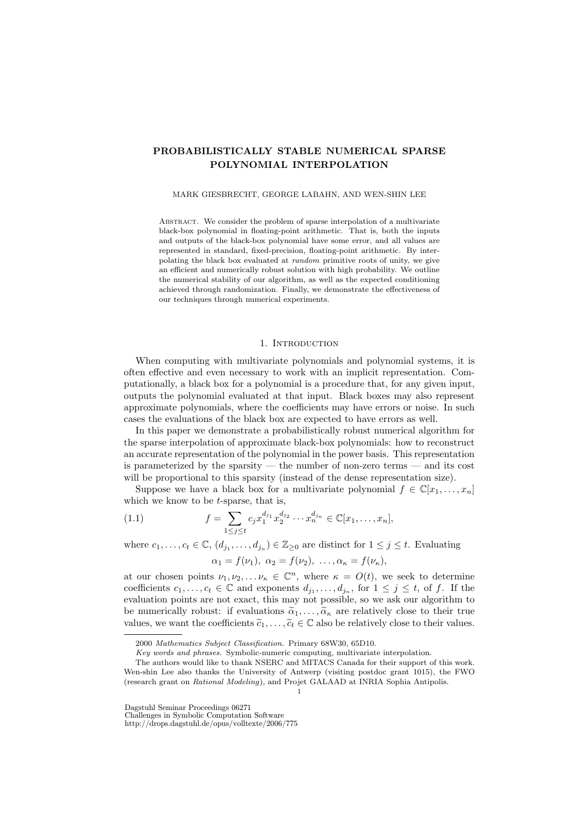# PROBABILISTICALLY STABLE NUMERICAL SPARSE POLYNOMIAL INTERPOLATION

#### MARK GIESBRECHT, GEORGE LABAHN, AND WEN-SHIN LEE

ABSTRACT. We consider the problem of sparse interpolation of a multivariate black-box polynomial in floating-point arithmetic. That is, both the inputs and outputs of the black-box polynomial have some error, and all values are represented in standard, fixed-precision, floating-point arithmetic. By interpolating the black box evaluated at random primitive roots of unity, we give an efficient and numerically robust solution with high probability. We outline the numerical stability of our algorithm, as well as the expected conditioning achieved through randomization. Finally, we demonstrate the effectiveness of our techniques through numerical experiments.

# 1. INTRODUCTION

When computing with multivariate polynomials and polynomial systems, it is often effective and even necessary to work with an implicit representation. Computationally, a black box for a polynomial is a procedure that, for any given input, outputs the polynomial evaluated at that input. Black boxes may also represent approximate polynomials, where the coefficients may have errors or noise. In such cases the evaluations of the black box are expected to have errors as well.

In this paper we demonstrate a probabilistically robust numerical algorithm for the sparse interpolation of approximate black-box polynomials: how to reconstruct an accurate representation of the polynomial in the power basis. This representation is parameterized by the sparsity  $-$  the number of non-zero terms  $-$  and its cost will be proportional to this sparsity (instead of the dense representation size).

Suppose we have a black box for a multivariate polynomial  $f \in \mathbb{C}[x_1, \ldots, x_n]$ which we know to be  $t$ -sparse, that is,

(1.1) 
$$
f = \sum_{1 \leq j \leq t} c_j x_1^{d_{j_1}} x_2^{d_{j_2}} \cdots x_n^{d_{jn}} \in \mathbb{C}[x_1, \ldots, x_n],
$$

where  $c_1, \ldots, c_t \in \mathbb{C}, (d_{j_1}, \ldots, d_{j_n}) \in \mathbb{Z}_{\geq 0}$  are distinct for  $1 \leq j \leq t$ . Evaluating  $\alpha_1 = f(\nu_1), \ \alpha_2 = f(\nu_2), \ \ldots, \alpha_{\kappa} = f(\nu_{\kappa}),$ 

at our chosen points  $\nu_1, \nu_2, \ldots, \nu_\kappa \in \mathbb{C}^n$ , where  $\kappa = O(t)$ , we seek to determine coefficients  $c_1, \ldots, c_t \in \mathbb{C}$  and exponents  $d_{j_1}, \ldots, d_{j_n}$ , for  $1 \leq j \leq t$ , of f. If the evaluation points are not exact, this may not possible, so we ask our algorithm to be numerically robust: if evaluations  $\tilde{\alpha}_1, \ldots, \tilde{\alpha}_\kappa$  are relatively close to their true values, we want the coefficients  $\tilde{c}_1, \ldots, \tilde{c}_t \in \mathbb{C}$  also be relatively close to their values.

Dagstuhl Seminar Proceedings 06271

Challenges in Symbolic Computation Software

http://drops.dagstuhl.de/opus/volltexte/2006/775

<sup>2000</sup> Mathematics Subject Classification. Primary 68W30, 65D10.

Key words and phrases. Symbolic-numeric computing, multivariate interpolation.

The authors would like to thank NSERC and MITACS Canada for their support of this work. Wen-shin Lee also thanks the University of Antwerp (visiting postdoc grant 1015), the FWO (research grant on Rational Modeling), and Projet GALAAD at INRIA Sophia Antipolis. 1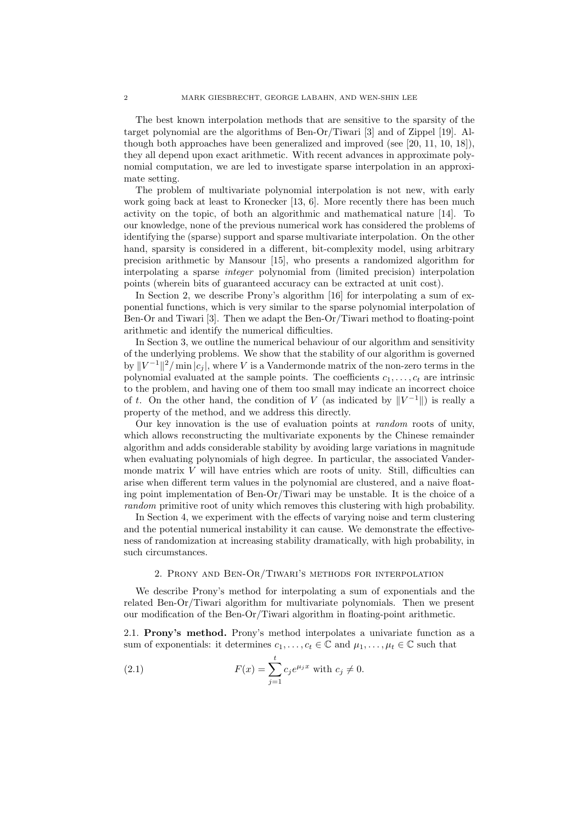The best known interpolation methods that are sensitive to the sparsity of the target polynomial are the algorithms of Ben-Or/Tiwari [3] and of Zippel [19]. Although both approaches have been generalized and improved (see [20, 11, 10, 18]), they all depend upon exact arithmetic. With recent advances in approximate polynomial computation, we are led to investigate sparse interpolation in an approximate setting.

The problem of multivariate polynomial interpolation is not new, with early work going back at least to Kronecker [13, 6]. More recently there has been much activity on the topic, of both an algorithmic and mathematical nature [14]. To our knowledge, none of the previous numerical work has considered the problems of identifying the (sparse) support and sparse multivariate interpolation. On the other hand, sparsity is considered in a different, bit-complexity model, using arbitrary precision arithmetic by Mansour [15], who presents a randomized algorithm for interpolating a sparse integer polynomial from (limited precision) interpolation points (wherein bits of guaranteed accuracy can be extracted at unit cost).

In Section 2, we describe Prony's algorithm [16] for interpolating a sum of exponential functions, which is very similar to the sparse polynomial interpolation of Ben-Or and Tiwari [3]. Then we adapt the Ben-Or/Tiwari method to floating-point arithmetic and identify the numerical difficulties.

In Section 3, we outline the numerical behaviour of our algorithm and sensitivity of the underlying problems. We show that the stability of our algorithm is governed by  $||V^{-1}||^2/\min |c_j|$ , where V is a Vandermonde matrix of the non-zero terms in the polynomial evaluated at the sample points. The coefficients  $c_1, \ldots, c_t$  are intrinsic to the problem, and having one of them too small may indicate an incorrect choice of t. On the other hand, the condition of V (as indicated by  $||V^{-1}||$ ) is really a property of the method, and we address this directly.

Our key innovation is the use of evaluation points at random roots of unity, which allows reconstructing the multivariate exponents by the Chinese remainder algorithm and adds considerable stability by avoiding large variations in magnitude when evaluating polynomials of high degree. In particular, the associated Vandermonde matrix  $V$  will have entries which are roots of unity. Still, difficulties can arise when different term values in the polynomial are clustered, and a naive floating point implementation of Ben-Or/Tiwari may be unstable. It is the choice of a random primitive root of unity which removes this clustering with high probability.

In Section 4, we experiment with the effects of varying noise and term clustering and the potential numerical instability it can cause. We demonstrate the effectiveness of randomization at increasing stability dramatically, with high probability, in such circumstances.

# 2. Prony and Ben-Or/Tiwari's methods for interpolation

We describe Prony's method for interpolating a sum of exponentials and the related Ben-Or/Tiwari algorithm for multivariate polynomials. Then we present our modification of the Ben-Or/Tiwari algorithm in floating-point arithmetic.

2.1. Prony's method. Prony's method interpolates a univariate function as a sum of exponentials: it determines  $c_1, \ldots, c_t \in \mathbb{C}$  and  $\mu_1, \ldots, \mu_t \in \mathbb{C}$  such that

(2.1) 
$$
F(x) = \sum_{j=1}^{t} c_j e^{\mu_j x} \text{ with } c_j \neq 0.
$$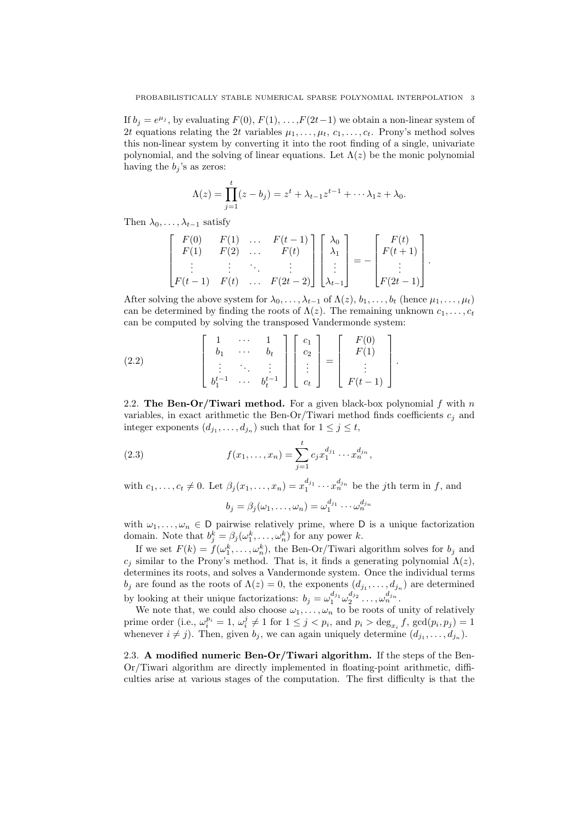If  $b_j = e^{\mu_j}$ , by evaluating  $F(0), F(1), \ldots, F(2t-1)$  we obtain a non-linear system of 2t equations relating the 2t variables  $\mu_1, \ldots, \mu_t, c_1, \ldots, c_t$ . Prony's method solves this non-linear system by converting it into the root finding of a single, univariate polynomial, and the solving of linear equations. Let  $\Lambda(z)$  be the monic polynomial having the  $b_i$ 's as zeros:

$$
\Lambda(z) = \prod_{j=1}^{t} (z - b_j) = z^t + \lambda_{t-1} z^{t-1} + \cdots \lambda_1 z + \lambda_0.
$$

Then  $\lambda_0, \ldots, \lambda_{t-1}$  satisfy

$$
\begin{bmatrix}\nF(0) & F(1) & \dots & F(t-1) \\
F(1) & F(2) & \dots & F(t) \\
\vdots & \vdots & \ddots & \vdots \\
F(t-1) & F(t) & \dots & F(2t-2)\n\end{bmatrix}\n\begin{bmatrix}\n\lambda_0 \\
\lambda_1 \\
\vdots \\
\lambda_{t-1}\n\end{bmatrix} = -\n\begin{bmatrix}\nF(t) \\
F(t+1) \\
\vdots \\
F(2t-1)\n\end{bmatrix}.
$$

After solving the above system for  $\lambda_0, \ldots, \lambda_{t-1}$  of  $\Lambda(z), b_1, \ldots, b_t$  (hence  $\mu_1, \ldots, \mu_t$ ) can be determined by finding the roots of  $\Lambda(z)$ . The remaining unknown  $c_1, \ldots, c_t$ can be computed by solving the transposed Vandermonde system:

.

(2.2) 
$$
\begin{bmatrix} 1 & \cdots & 1 \\ b_1 & \cdots & b_t \\ \vdots & \ddots & \vdots \\ b_1^{t-1} & \cdots & b_t^{t-1} \end{bmatrix} \begin{bmatrix} c_1 \\ c_2 \\ \vdots \\ c_t \end{bmatrix} = \begin{bmatrix} F(0) \\ F(1) \\ \vdots \\ F(t-1) \end{bmatrix}
$$

2.2. The Ben-Or/Tiwari method. For a given black-box polynomial  $f$  with  $n$ variables, in exact arithmetic the Ben-Or/Tiwari method finds coefficients  $c_j$  and integer exponents  $(d_{j_1},...,d_{j_n})$  such that for  $1 \leq j \leq t$ ,

(2.3) 
$$
f(x_1,...,x_n) = \sum_{j=1}^t c_j x_1^{d_{j_1}} \cdots x_n^{d_{j_n}},
$$

with  $c_1, \ldots, c_t \neq 0$ . Let  $\beta_j(x_1, \ldots, x_n) = x_1^{d_{j_1}} \cdots x_n^{d_{j_n}}$  be the *j*th term in *f*, and

$$
b_j = \beta_j(\omega_1, \dots, \omega_n) = \omega_1^{d_{j_1}} \cdots \omega_n^{d_{j_n}}
$$

with  $\omega_1, \ldots, \omega_n \in \mathsf{D}$  pairwise relatively prime, where  $\mathsf{D}$  is a unique factorization domain. Note that  $b_j^k = \beta_j(\omega_1^k, \dots, \omega_n^k)$  for any power k.

If we set  $F(k) = f(\omega_1^k, \dots, \omega_n^k)$ , the Ben-Or/Tiwari algorithm solves for  $b_j$  and  $c_j$  similar to the Prony's method. That is, it finds a generating polynomial  $\Lambda(z)$ , determines its roots, and solves a Vandermonde system. Once the individual terms  $b_j$  are found as the roots of  $\Lambda(z) = 0$ , the exponents  $(d_{j_1}, \ldots, d_{j_n})$  are determined by looking at their unique factorizations:  $b_j = \omega_1^{d_{j_1}} \omega_2^{d_{j_2}} \dots, \omega_n^{d_{j_n}}$ .

We note that, we could also choose  $\omega_1, \ldots, \omega_n$  to be roots of unity of relatively prime order (i.e.,  $\omega_i^{p_i} = 1$ ,  $\omega_i^j \neq 1$  for  $1 \leq j < p_i$ , and  $p_i > \deg_{x_i} f$ ,  $\gcd(p_i, p_j) = 1$ whenever  $i \neq j$ ). Then, given  $b_j$ , we can again uniquely determine  $(d_{j_1}, \ldots, d_{j_n})$ .

2.3. A modified numeric Ben-Or/Tiwari algorithm. If the steps of the Ben-Or/Tiwari algorithm are directly implemented in floating-point arithmetic, difficulties arise at various stages of the computation. The first difficulty is that the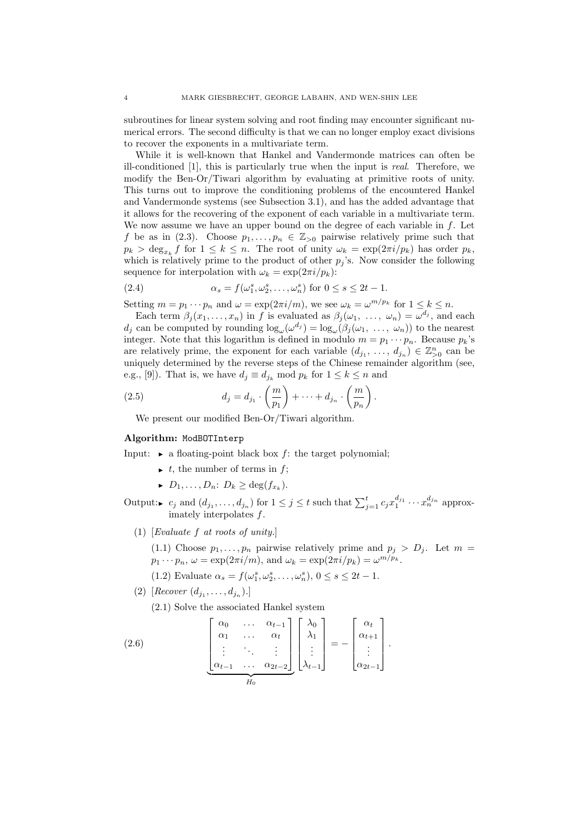subroutines for linear system solving and root finding may encounter significant numerical errors. The second difficulty is that we can no longer employ exact divisions to recover the exponents in a multivariate term.

While it is well-known that Hankel and Vandermonde matrices can often be ill-conditioned [1], this is particularly true when the input is real. Therefore, we modify the Ben-Or/Tiwari algorithm by evaluating at primitive roots of unity. This turns out to improve the conditioning problems of the encountered Hankel and Vandermonde systems (see Subsection 3.1), and has the added advantage that it allows for the recovering of the exponent of each variable in a multivariate term. We now assume we have an upper bound on the degree of each variable in  $f$ . Let f be as in (2.3). Choose  $p_1, \ldots, p_n \in \mathbb{Z}_{\geq 0}$  pairwise relatively prime such that  $p_k > \deg_{x_k} f$  for  $1 \leq k \leq n$ . The root of unity  $\omega_k = \exp(2\pi i/p_k)$  has order  $p_k$ , which is relatively prime to the product of other  $p_j$ 's. Now consider the following sequence for interpolation with  $\omega_k = \exp(2\pi i/p_k)$ :

(2.4) 
$$
\alpha_s = f(\omega_1^s, \omega_2^s, \dots, \omega_n^s) \text{ for } 0 \le s \le 2t - 1.
$$

Setting  $m = p_1 \cdots p_n$  and  $\omega = \exp(2\pi i/m)$ , we see  $\omega_k = \omega^{m/p_k}$  for  $1 \le k \le n$ .

Each term  $\beta_j(x_1,\ldots,x_n)$  in f is evaluated as  $\beta_j(\omega_1, \ldots, \omega_n) = \omega^{d_j}$ , and each  $d_j$  can be computed by rounding  $\log_{\omega}(\omega^{d_j}) = \log_{\omega}(\beta_j(\omega_1, \ldots, \omega_n))$  to the nearest integer. Note that this logarithm is defined in modulo  $m = p_1 \cdots p_n$ . Because  $p_k$ 's are relatively prime, the exponent for each variable  $(d_{j_1}, \ldots, d_{j_n}) \in \mathbb{Z}_{\geq 0}^n$  can be uniquely determined by the reverse steps of the Chinese remainder algorithm (see, e.g., [9]). That is, we have  $d_j \equiv d_{j_k} \mod p_k$  for  $1 \leq k \leq n$  and

(2.5) 
$$
d_j = d_{j_1} \cdot \left(\frac{m}{p_1}\right) + \dots + d_{j_n} \cdot \left(\frac{m}{p_n}\right).
$$

We present our modified Ben-Or/Tiwari algorithm.

## Algorithm: ModBOTInterp

Input:  $\triangleright$  a floating-point black box f: the target polynomial;

- $\rightarrow t$ , the number of terms in f;
- $\blacktriangleright$   $D_1, \ldots, D_n: D_k \geq \deg(f_{x_k}).$

Output: $\bullet$  c<sub>j</sub> and  $(d_{j_1}, \ldots, d_{j_n})$  for  $1 \leq j \leq t$  such that  $\sum_{j=1}^t c_j x_1^{d_{j_1}} \cdots x_n^{d_{j_n}}$  approximately interpolates f.

(1) [Evaluate  $f$  at roots of unity.]

(1.1) Choose  $p_1, \ldots, p_n$  pairwise relatively prime and  $p_j > D_j$ . Let  $m =$  $p_1 \cdots p_n$ ,  $\omega = \exp(2\pi i/m)$ , and  $\omega_k = \exp(2\pi i/p_k) = \omega^{m/p_k}$ .

- (1.2) Evaluate  $\alpha_s = f(\omega_1^s, \omega_2^s, \dots, \omega_n^s), 0 \le s \le 2t 1.$
- (2) [Recover  $(d_{j_1},...,d_{j_n}).$ ]

(2.1) Solve the associated Hankel system  $\overline{z}$ 

(2.6) 
$$
\begin{bmatrix}\n\alpha_0 & \cdots & \alpha_{t-1} \\
\alpha_1 & \cdots & \alpha_t \\
\vdots & \ddots & \vdots \\
\alpha_{t-1} & \cdots & \alpha_{2t-2}\n\end{bmatrix}\n\begin{bmatrix}\n\lambda_0 \\
\lambda_1 \\
\vdots \\
\lambda_{t-1}\n\end{bmatrix} = -\n\begin{bmatrix}\n\alpha_t \\
\alpha_{t+1} \\
\vdots \\
\alpha_{2t-1}\n\end{bmatrix}.
$$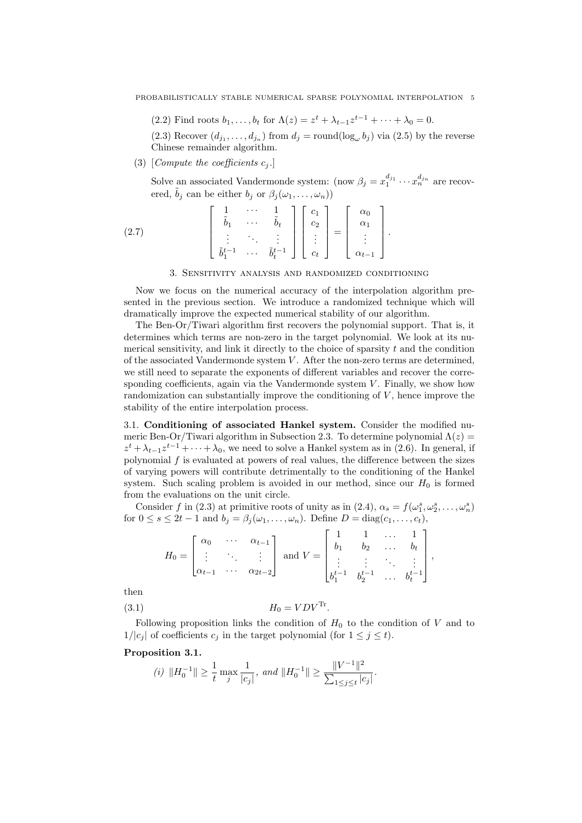(2.2) Find roots  $b_1, ..., b_t$  for  $\Lambda(z) = z^t + \lambda_{t-1} z^{t-1} + ... + \lambda_0 = 0$ .

(2.3) Recover  $(d_{j_1},...,d_{j_n})$  from  $d_j = \text{round}(\log_{\omega} b_j)$  via (2.5) by the reverse Chinese remainder algorithm.

(3) [Compute the coefficients  $c_i$ .]

Solve an associated Vandermonde system: (now  $\beta_j = x_1^{d_{j_1}} \cdots x_n^{d_{j_n}}$  are recovered,  $\tilde{b}_i$  can be either  $b_i$  or  $\beta_i(\omega_1, \ldots, \omega_n)$ )

$$
(2.7) \qquad \begin{bmatrix} 1 & \cdots & 1 \\ \tilde{b}_1 & \cdots & \tilde{b}_t \\ \vdots & \ddots & \vdots \\ \tilde{b}_1^{t-1} & \cdots & \tilde{b}_t^{t-1} \end{bmatrix} \begin{bmatrix} c_1 \\ c_2 \\ \vdots \\ c_t \end{bmatrix} = \begin{bmatrix} \alpha_0 \\ \alpha_1 \\ \vdots \\ \alpha_{t-1} \end{bmatrix}.
$$

3. Sensitivity analysis and randomized conditioning

Now we focus on the numerical accuracy of the interpolation algorithm presented in the previous section. We introduce a randomized technique which will dramatically improve the expected numerical stability of our algorithm.

The Ben-Or/Tiwari algorithm first recovers the polynomial support. That is, it determines which terms are non-zero in the target polynomial. We look at its numerical sensitivity, and link it directly to the choice of sparsity  $t$  and the condition of the associated Vandermonde system  $V$ . After the non-zero terms are determined, we still need to separate the exponents of different variables and recover the corresponding coefficients, again via the Vandermonde system  $V$ . Finally, we show how randomization can substantially improve the conditioning of  $V$ , hence improve the stability of the entire interpolation process.

3.1. Conditioning of associated Hankel system. Consider the modified numeric Ben-Or/Tiwari algorithm in Subsection 2.3. To determine polynomial  $\Lambda(z)$  =  $z^{t} + \lambda_{t-1} z^{t-1} + \cdots + \lambda_{0}$ , we need to solve a Hankel system as in (2.6). In general, if polynomial  $f$  is evaluated at powers of real values, the difference between the sizes of varying powers will contribute detrimentally to the conditioning of the Hankel system. Such scaling problem is avoided in our method, since our  $H_0$  is formed from the evaluations on the unit circle.

Consider f in (2.3) at primitive roots of unity as in (2.4),  $\alpha_s = f(\omega_1^s, \omega_2^s, \dots, \omega_n^s)$ for  $0 \le s \le 2t-1$  and  $b_j = \beta_j(\omega_1, \ldots, \omega_n)$ . Define  $D = \text{diag}(c_1, \ldots, c_t)$ , 

$$
H_0 = \begin{bmatrix} \alpha_0 & \cdots & \alpha_{t-1} \\ \vdots & \ddots & \vdots \\ \alpha_{t-1} & \cdots & \alpha_{2t-2} \end{bmatrix} \text{ and } V = \begin{bmatrix} 1 & 1 & \cdots & 1 \\ b_1 & b_2 & \cdots & b_t \\ \vdots & \vdots & \ddots & \vdots \\ b_1^{t-1} & b_2^{t-1} & \cdots & b_t^{t-1} \end{bmatrix},
$$

then

$$
(3.1) \t\t H_0 = VDV^{\text{Tr}}
$$

Following proposition links the condition of  $H_0$  to the condition of V and to  $1/|c_j|$  of coefficients  $c_j$  in the target polynomial (for  $1 \leq j \leq t$ ).

.

Proposition 3.1.

(i) 
$$
||H_0^{-1}|| \ge \frac{1}{t} \max_j \frac{1}{|c_j|}
$$
, and  $||H_0^{-1}|| \ge \frac{||V^{-1}||^2}{\sum_{1 \le j \le t} |c_j|}$ .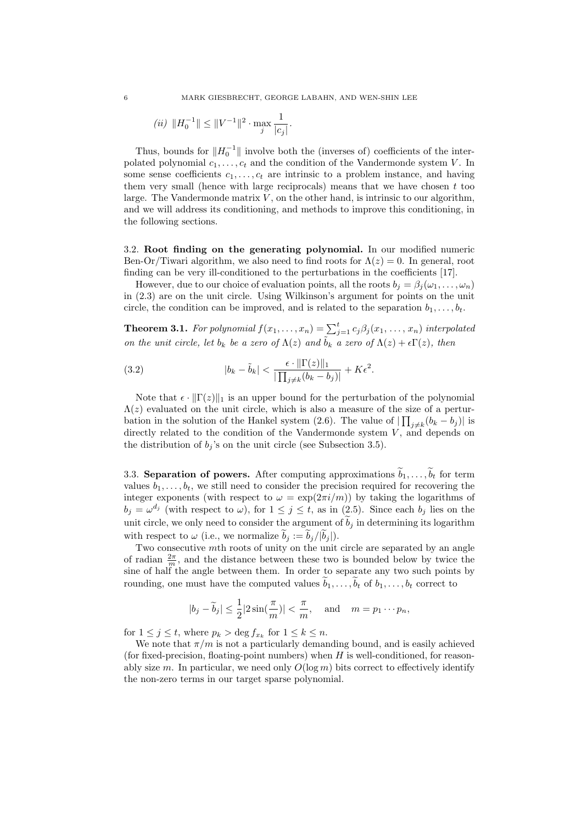6 MARK GIESBRECHT, GEORGE LABAHN, AND WEN-SHIN LEE

(*ii*) 
$$
||H_0^{-1}|| \le ||V^{-1}||^2 \cdot \max_j \frac{1}{|c_j|}
$$
.

Thus, bounds for  $||H_0^{-1}||$  involve both the (inverses of) coefficients of the interpolated polynomial  $c_1, \ldots, c_t$  and the condition of the Vandermonde system V. In some sense coefficients  $c_1, \ldots, c_t$  are intrinsic to a problem instance, and having them very small (hence with large reciprocals) means that we have chosen  $t$  too large. The Vandermonde matrix  $V$ , on the other hand, is intrinsic to our algorithm, and we will address its conditioning, and methods to improve this conditioning, in the following sections.

3.2. Root finding on the generating polynomial. In our modified numeric Ben-Or/Tiwari algorithm, we also need to find roots for  $\Lambda(z) = 0$ . In general, root finding can be very ill-conditioned to the perturbations in the coefficients [17].

However, due to our choice of evaluation points, all the roots  $b_i = \beta_i(\omega_1, \ldots, \omega_n)$ in (2.3) are on the unit circle. Using Wilkinson's argument for points on the unit circle, the condition can be improved, and is related to the separation  $b_1, \ldots, b_t$ .

**Theorem 3.1.** For polynomial  $f(x_1,...,x_n) = \sum_{j=1}^t c_j \beta_j(x_1,...,x_n)$  interpolated on the unit circle, let  $b_k$  be a zero of  $\Lambda(z)$  and  $\tilde{b_k}$  a zero of  $\Lambda(z) + \epsilon \Gamma(z)$ , then

(3.2) 
$$
|b_k - \tilde{b}_k| < \frac{\epsilon \cdot \|\Gamma(z)\|_1}{\|\prod_{j \neq k} (b_k - b_j)\|} + K\epsilon^2.
$$

Note that  $\epsilon \cdot ||\Gamma(z)||_1$  is an upper bound for the perturbation of the polynomial  $\Lambda(z)$  evaluated on the unit circle, which is also a measure of the size of a perturbation in the solution of the Hankel system (2.6). The value of  $\left| \prod_{j\neq k} (b_k - b_j) \right|$  is directly related to the condition of the Vandermonde system  $V$ , and depends on the distribution of  $b_j$ 's on the unit circle (see Subsection 3.5).

3.3. Separation of powers. After computing approximations  $\widetilde{b}_1, \ldots, \widetilde{b}_t$  for term values  $b_1, \ldots, b_t$ , we still need to consider the precision required for recovering the integer exponents (with respect to  $\omega = \exp(2\pi i/m)$ ) by taking the logarithms of  $b_j = \omega^{d_j}$  (with respect to  $\omega$ ), for  $1 \leq j \leq t$ , as in (2.5). Since each  $b_j$  lies on the unit circle, we only need to consider the argument of  $b_j$  in determining its logarithm with respect to  $\omega$  (i.e., we normalize  $b_j := b_j/|b_j|$ ).

Two consecutive mth roots of unity on the unit circle are separated by an angle of radian  $\frac{2\pi}{m}$ , and the distance between these two is bounded below by twice the sine of half the angle between them. In order to separate any two such points by rounding, one must have the computed values  $b_1, \ldots, b_t$  of  $b_1, \ldots, b_t$  correct to

$$
|b_j - \widetilde{b}_j| \le \frac{1}{2} |2 \sin(\frac{\pi}{m})| < \frac{\pi}{m}
$$
, and  $m = p_1 \cdots p_n$ ,

for  $1 \leq j \leq t$ , where  $p_k > \deg f_{x_k}$  for  $1 \leq k \leq n$ .

We note that  $\pi/m$  is not a particularly demanding bound, and is easily achieved (for fixed-precision, floating-point numbers) when  $H$  is well-conditioned, for reasonably size m. In particular, we need only  $O(\log m)$  bits correct to effectively identify the non-zero terms in our target sparse polynomial.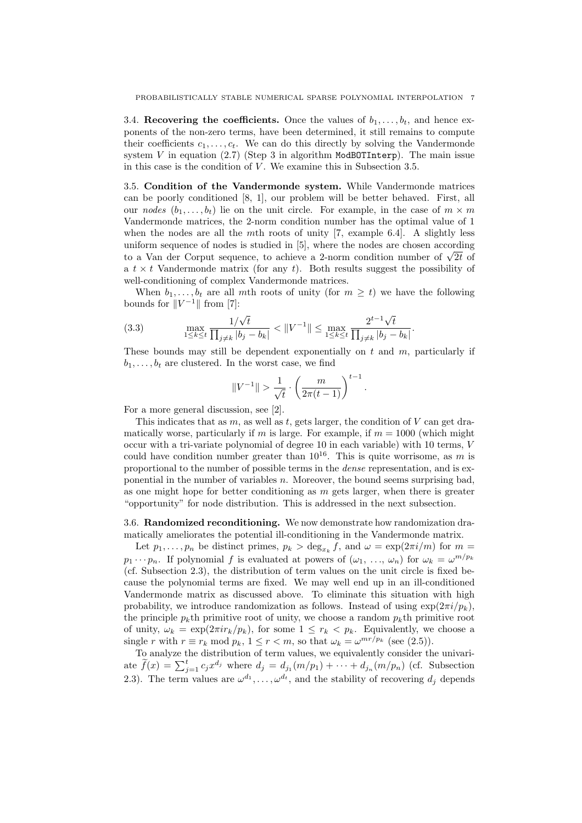3.4. Recovering the coefficients. Once the values of  $b_1, \ldots, b_t$ , and hence exponents of the non-zero terms, have been determined, it still remains to compute their coefficients  $c_1, \ldots, c_t$ . We can do this directly by solving the Vandermonde system  $V$  in equation (2.7) (Step 3 in algorithm ModBOTInterp). The main issue in this case is the condition of  $V$ . We examine this in Subsection 3.5.

3.5. Condition of the Vandermonde system. While Vandermonde matrices can be poorly conditioned [8, 1], our problem will be better behaved. First, all our nodes  $(b_1, \ldots, b_t)$  lie on the unit circle. For example, in the case of  $m \times m$ Vandermonde matrices, the 2-norm condition number has the optimal value of 1 when the nodes are all the mth roots of unity  $[7,$  example 6.4. A slightly less uniform sequence of nodes is studied in [5], where the nodes are chosen according uniform sequence of hodes is studied in [5], where the hodes are chosen according<br>to a Van der Corput sequence, to achieve a 2-norm condition number of  $\sqrt{2t}$  of a  $t \times t$  Vandermonde matrix (for any t). Both results suggest the possibility of well-conditioning of complex Vandermonde matrices.

When  $b_1, \ldots, b_t$  are all mth roots of unity (for  $m \geq t$ ) we have the following bounds for  $||V^{-1}||$  from [7]:

(3.3) 
$$
\max_{1 \le k \le t} \frac{1/\sqrt{t}}{\prod_{j \ne k} |b_j - b_k|} < ||V^{-1}|| \le \max_{1 \le k \le t} \frac{2^{t-1}\sqrt{t}}{\prod_{j \ne k} |b_j - b_k|}.
$$

These bounds may still be dependent exponentially on  $t$  and  $m$ , particularly if  $b_1, \ldots, b_t$  are clustered. In the worst case, we find

$$
||V^{-1}|| > \frac{1}{\sqrt{t}} \cdot \left(\frac{m}{2\pi(t-1)}\right)^{t-1}.
$$

For a more general discussion, see [2].

This indicates that as  $m$ , as well as  $t$ , gets larger, the condition of  $V$  can get dramatically worse, particularly if m is large. For example, if  $m = 1000$  (which might occur with a tri-variate polynomial of degree 10 in each variable) with 10 terms, V could have condition number greater than  $10^{16}$ . This is quite worrisome, as m is proportional to the number of possible terms in the dense representation, and is exponential in the number of variables  $n$ . Moreover, the bound seems surprising bad. as one might hope for better conditioning as  $m$  gets larger, when there is greater "opportunity" for node distribution. This is addressed in the next subsection.

3.6. Randomized reconditioning. We now demonstrate how randomization dramatically ameliorates the potential ill-conditioning in the Vandermonde matrix.

Let  $p_1, \ldots, p_n$  be distinct primes,  $p_k > \deg_{x_k} f$ , and  $\omega = \exp(2\pi i/m)$  for  $m =$  $p_1 \cdots p_n$ . If polynomial f is evaluated at powers of  $(\omega_1, \ldots, \omega_n)$  for  $\omega_k = \omega^{m/p_k}$ (cf. Subsection 2.3), the distribution of term values on the unit circle is fixed because the polynomial terms are fixed. We may well end up in an ill-conditioned Vandermonde matrix as discussed above. To eliminate this situation with high probability, we introduce randomization as follows. Instead of using  $\exp(2\pi i/p_k)$ , the principle  $p_k$ th primitive root of unity, we choose a random  $p_k$ th primitive root of unity,  $\omega_k = \exp(2\pi i r_k/p_k)$ , for some  $1 \leq r_k < p_k$ . Equivalently, we choose a single r with  $r \equiv r_k \mod p_k$ ,  $1 \le r < m$ , so that  $\omega_k = \omega^{mr/p_k}$  (see (2.5)).

To analyze the distribution of term values, we equivalently consider the univarito analyze the distribution of term values, we equivalently consider the dinvariance  $\tilde{f}(x) = \sum_{j=1}^{t} c_j x^{d_j}$  where  $d_j = d_{j_1}(m/p_1) + \cdots + d_{j_n}(m/p_n)$  (cf. Subsection 2.3). The term values are  $\omega^{d_1}, \ldots, \omega^{d_t}$ , and the stability of recovering  $d_j$  depends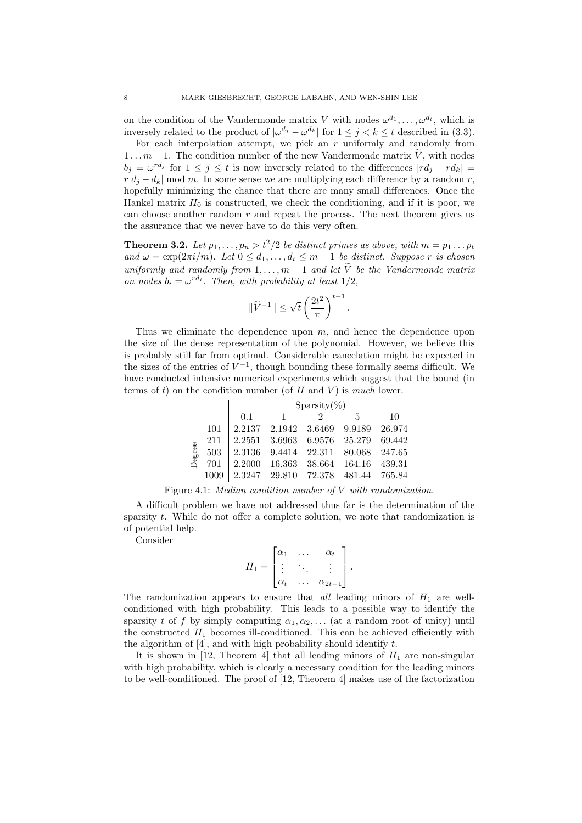on the condition of the Vandermonde matrix V with nodes  $\omega^{d_1}, \ldots, \omega^{d_t}$ , which is inversely related to the product of  $|\omega^{d_j} - \omega^{d_k}|$  for  $1 \leq j \leq k \leq t$  described in (3.3).

For each interpolation attempt, we pick an  $r$  uniformly and randomly from  $1 \ldots m-1$ . The condition number of the new Vandermonde matrix  $\widetilde{V}$ , with nodes  $b_j = \omega^{rd_j}$  for  $1 \leq j \leq t$  is now inversely related to the differences  $|rd_j - rd_k|$  $r|d_i - d_k|$  mod m. In some sense we are multiplying each difference by a random r, hopefully minimizing the chance that there are many small differences. Once the Hankel matrix  $H_0$  is constructed, we check the conditioning, and if it is poor, we can choose another random  $r$  and repeat the process. The next theorem gives us the assurance that we never have to do this very often.

**Theorem 3.2.** Let  $p_1, \ldots, p_n > t^2/2$  be distinct primes as above, with  $m = p_1 \ldots p_t$ and  $\omega = \exp(2\pi i/m)$ . Let  $0 \leq d_1, \ldots, d_t \leq m-1$  be distinct. Suppose r is chosen uniformly and randomly from  $1, \ldots, m-1$  and let  $\widetilde{V}$  be the Vandermonde matrix on nodes  $b_i = \omega^{rd_i}$ . Then, with probability at least  $1/2$ ,

$$
\|\widetilde{V}^{-1}\|\leq \sqrt{t}\left(\frac{2t^2}{\pi}\right)^{t-1}
$$

.

Thus we eliminate the dependence upon  $m$ , and hence the dependence upon the size of the dense representation of the polynomial. However, we believe this is probably still far from optimal. Considerable cancelation might be expected in the sizes of the entries of  $V^{-1}$ , though bounding these formally seems difficult. We have conducted intensive numerical experiments which suggest that the bound (in terms of t) on the condition number (of  $H$  and  $V$ ) is much lower.

|        |     | $Sparsity(\%)$ |                             |  |                                    |        |
|--------|-----|----------------|-----------------------------|--|------------------------------------|--------|
|        |     | $\Omega$ 1     | -1                          |  | 5                                  | 10     |
|        | 101 |                | 2.2137 2.1942 3.6469 9.9189 |  |                                    | 26.974 |
|        | 211 |                | 2.2551 3.6963 6.9576 25.279 |  |                                    | 69.442 |
| Degree | 503 |                |                             |  | 2.3136 9.4414 22.311 80.068 247.65 |        |
|        | 701 | 2.2000         |                             |  | 16.363 38.664 164.16 439.31        |        |
|        |     |                |                             |  | 2.3247 29.810 72.378 481.44 765.84 |        |

Figure 4.1: Median condition number of V with randomization.

A difficult problem we have not addressed thus far is the determination of the sparsity t. While do not offer a complete solution, we note that randomization is of potential help.

Consider

$$
H_1 = \begin{bmatrix} \alpha_1 & \dots & \alpha_t \\ \vdots & \ddots & \vdots \\ \alpha_t & \dots & \alpha_{2t-1} \end{bmatrix}.
$$

The randomization appears to ensure that all leading minors of  $H_1$  are wellconditioned with high probability. This leads to a possible way to identify the sparsity t of f by simply computing  $\alpha_1, \alpha_2, \ldots$  (at a random root of unity) until the constructed  $H_1$  becomes ill-conditioned. This can be achieved efficiently with the algorithm of  $[4]$ , and with high probability should identify t.

It is shown in [12, Theorem 4] that all leading minors of  $H_1$  are non-singular with high probability, which is clearly a necessary condition for the leading minors to be well-conditioned. The proof of [12, Theorem 4] makes use of the factorization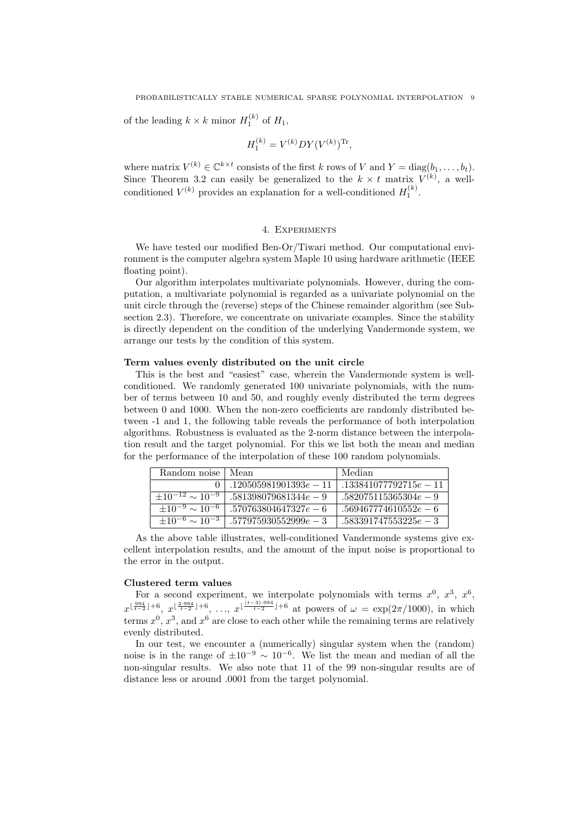of the leading  $k \times k$  minor  $H_1^{(k)}$  of  $H_1$ ,

$$
H_1^{(k)} = V^{(k)}DY(V^{(k)})^{\text{Tr}},
$$

where matrix  $V^{(k)} \in \mathbb{C}^{k \times t}$  consists of the first k rows of V and  $Y = \text{diag}(b_1, \ldots, b_t)$ . Since Theorem 3.2 can easily be generalized to the  $k \times t$  matrix  $V^{(k)}$ , a wellconditioned  $V^{(k)}$  provides an explanation for a well-conditioned  $H_1^{(k)}$ .

# 4. Experiments

We have tested our modified Ben-Or/Tiwari method. Our computational environment is the computer algebra system Maple 10 using hardware arithmetic (IEEE floating point).

Our algorithm interpolates multivariate polynomials. However, during the computation, a multivariate polynomial is regarded as a univariate polynomial on the unit circle through the (reverse) steps of the Chinese remainder algorithm (see Subsection 2.3). Therefore, we concentrate on univariate examples. Since the stability is directly dependent on the condition of the underlying Vandermonde system, we arrange our tests by the condition of this system.

### Term values evenly distributed on the unit circle

This is the best and "easiest" case, wherein the Vandermonde system is wellconditioned. We randomly generated 100 univariate polynomials, with the number of terms between 10 and 50, and roughly evenly distributed the term degrees between 0 and 1000. When the non-zero coefficients are randomly distributed between -1 and 1, the following table reveals the performance of both interpolation algorithms. Robustness is evaluated as the 2-norm distance between the interpolation result and the target polynomial. For this we list both the mean and median for the performance of the interpolation of these 100 random polynomials.

| Random noise                | l Mean                  | Median                  |
|-----------------------------|-------------------------|-------------------------|
|                             | $120505981901393e - 11$ | $133841077792715e - 11$ |
| $\pm 10^{-12} \sim 10^{-9}$ | $.581398079681344e - 9$ | $.582075115365304e - 9$ |
| $\pm 10^{-9} \sim 10^{-6}$  | $.570763804647327e - 6$ | $.569467774610552e-6$   |
| $\pm 10^{-6} \sim 10^{-3}$  | $.577975930552999e - 3$ | $.583391747553225e-3$   |

As the above table illustrates, well-conditioned Vandermonde systems give excellent interpolation results, and the amount of the input noise is proportional to the error in the output.

# Clustered term values

For a second experiment, we interpolate polynomials with terms  $x^0$ ,  $x^3$ ,  $x^6$ ,  $x^{\lfloor \frac{994}{t-2} \rfloor+6}$ ,  $x^{\lfloor \frac{2\cdot 994}{t-2} \rfloor+6}$ , ...,  $x^{\lfloor \frac{(t-3)\cdot 994}{t-2} \rfloor+6}$  at powers of  $\omega = \exp(2\pi/1000)$ , in which terms  $x^0$ ,  $x^3$ , and  $x^6$  are close to each other while the remaining terms are relatively evenly distributed.

In our test, we encounter a (numerically) singular system when the (random) noise is in the range of  $\pm 10^{-9} \sim 10^{-6}$ . We list the mean and median of all the non-singular results. We also note that 11 of the 99 non-singular results are of distance less or around .0001 from the target polynomial.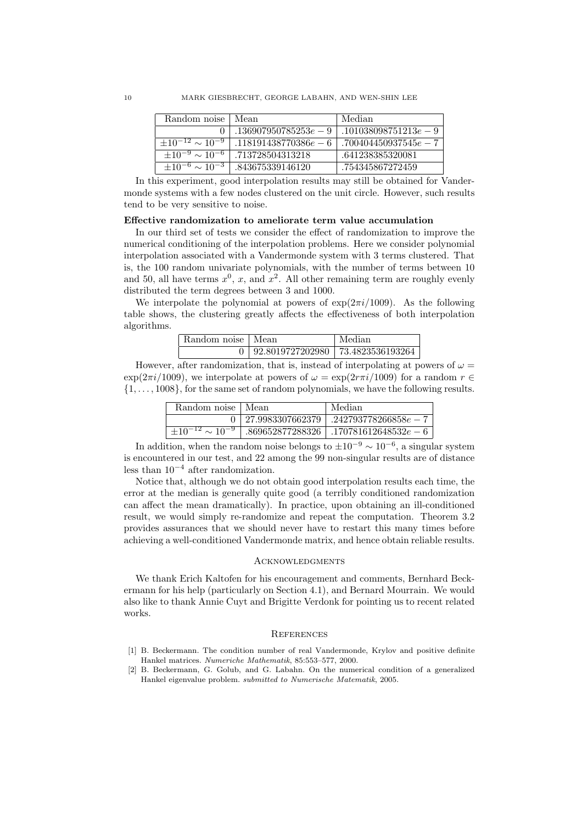| Random noise                | Mean                    | Median                  |
|-----------------------------|-------------------------|-------------------------|
|                             | $.136907950785253e - 9$ | $.101038098751213e - 9$ |
| $\pm 10^{-12} \sim 10^{-9}$ | $.118191438770386e-6$   | $.700404450937545e - 7$ |
| $\pm 10^{-9} \sim 10^{-6}$  | .713728504313218        | .641238385320081        |
| $\pm 10^{-6} \sim 10^{-3}$  | .843675339146120        | .754345867272459        |

In this experiment, good interpolation results may still be obtained for Vandermonde systems with a few nodes clustered on the unit circle. However, such results tend to be very sensitive to noise.

# Effective randomization to ameliorate term value accumulation

In our third set of tests we consider the effect of randomization to improve the numerical conditioning of the interpolation problems. Here we consider polynomial interpolation associated with a Vandermonde system with 3 terms clustered. That is, the 100 random univariate polynomials, with the number of terms between 10 and 50, all have terms  $x^0$ , x, and  $x^2$ . All other remaining term are roughly evenly distributed the term degrees between 3 and 1000.

We interpolate the polynomial at powers of  $\exp(2\pi i/1009)$ . As the following table shows, the clustering greatly affects the effectiveness of both interpolation algorithms.

| Random noise   Mean |                                           | Median |
|---------------------|-------------------------------------------|--------|
|                     | $0   92.8019727202980   73.4823536193264$ |        |

However, after randomization, that is, instead of interpolating at powers of  $\omega =$  $\exp(2\pi i/1009)$ , we interpolate at powers of  $\omega = \exp(2\pi i/1009)$  for a random  $r \in$  $\{1, \ldots, 1008\}$ , for the same set of random polynomials, we have the following results.

| Random noise   Mean      |                      | Median                                     |
|--------------------------|----------------------|--------------------------------------------|
|                          | $0+27.9983307662379$ | $.242793778266858e-7$                      |
| $+10^{-12} \sim 10^{-9}$ |                      | $.869652877288326$   $.170781612648532e-6$ |

In addition, when the random noise belongs to  $\pm 10^{-9} \sim 10^{-6}$ , a singular system is encountered in our test, and 22 among the 99 non-singular results are of distance less than  $10^{-4}$  after randomization.

Notice that, although we do not obtain good interpolation results each time, the error at the median is generally quite good (a terribly conditioned randomization can affect the mean dramatically). In practice, upon obtaining an ill-conditioned result, we would simply re-randomize and repeat the computation. Theorem 3.2 provides assurances that we should never have to restart this many times before achieving a well-conditioned Vandermonde matrix, and hence obtain reliable results.

#### Acknowledgments

We thank Erich Kaltofen for his encouragement and comments, Bernhard Beckermann for his help (particularly on Section 4.1), and Bernard Mourrain. We would also like to thank Annie Cuyt and Brigitte Verdonk for pointing us to recent related works.

#### **REFERENCES**

- [1] B. Beckermann. The condition number of real Vandermonde, Krylov and positive definite Hankel matrices. Numeriche Mathematik, 85:553–577, 2000.
- [2] B. Beckermann, G. Golub, and G. Labahn. On the numerical condition of a generalized Hankel eigenvalue problem. submitted to Numerische Matematik, 2005.